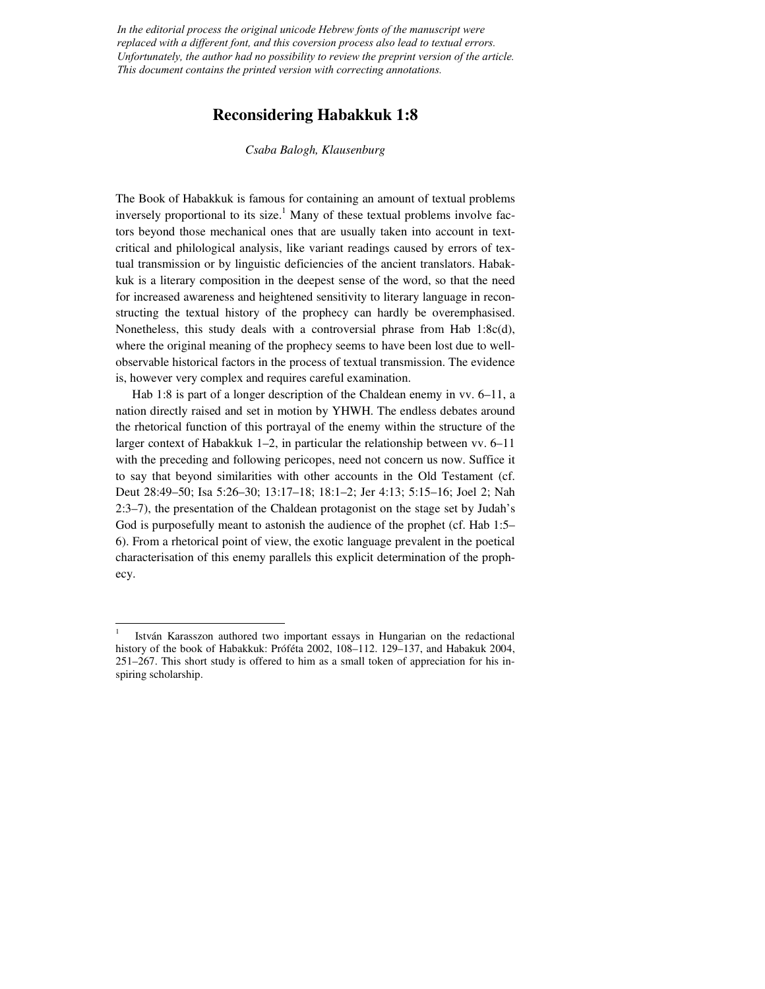*In the editorial process the original unicode Hebrew fonts of the manuscript were replaced with a different font, and this coversion process also lead to textual errors. Unfortunately, the author had no possibility to review the preprint version of the article. This document contains the printed version with correcting annotations.*

## **Reconsidering Habakkuk 1:8**

*Csaba Balogh, Klausenburg* 

The Book of Habakkuk is famous for containing an amount of textual problems inversely proportional to its size.<sup>1</sup> Many of these textual problems involve factors beyond those mechanical ones that are usually taken into account in textcritical and philological analysis, like variant readings caused by errors of textual transmission or by linguistic deficiencies of the ancient translators. Habakkuk is a literary composition in the deepest sense of the word, so that the need for increased awareness and heightened sensitivity to literary language in reconstructing the textual history of the prophecy can hardly be overemphasised. Nonetheless, this study deals with a controversial phrase from Hab 1:8c(d), where the original meaning of the prophecy seems to have been lost due to wellobservable historical factors in the process of textual transmission. The evidence is, however very complex and requires careful examination.

 Hab 1:8 is part of a longer description of the Chaldean enemy in vv. 6–11, a nation directly raised and set in motion by YHWH. The endless debates around the rhetorical function of this portrayal of the enemy within the structure of the larger context of Habakkuk 1–2, in particular the relationship between vv. 6–11 with the preceding and following pericopes, need not concern us now. Suffice it to say that beyond similarities with other accounts in the Old Testament (cf. Deut 28:49–50; Isa 5:26–30; 13:17–18; 18:1–2; Jer 4:13; 5:15–16; Joel 2; Nah 2:3–7), the presentation of the Chaldean protagonist on the stage set by Judah's God is purposefully meant to astonish the audience of the prophet (cf. Hab 1:5– 6). From a rhetorical point of view, the exotic language prevalent in the poetical characterisation of this enemy parallels this explicit determination of the prophecy.

<sup>1</sup> István Karasszon authored two important essays in Hungarian on the redactional history of the book of Habakkuk: Próféta 2002, 108–112. 129–137, and Habakuk 2004, 251–267. This short study is offered to him as a small token of appreciation for his inspiring scholarship.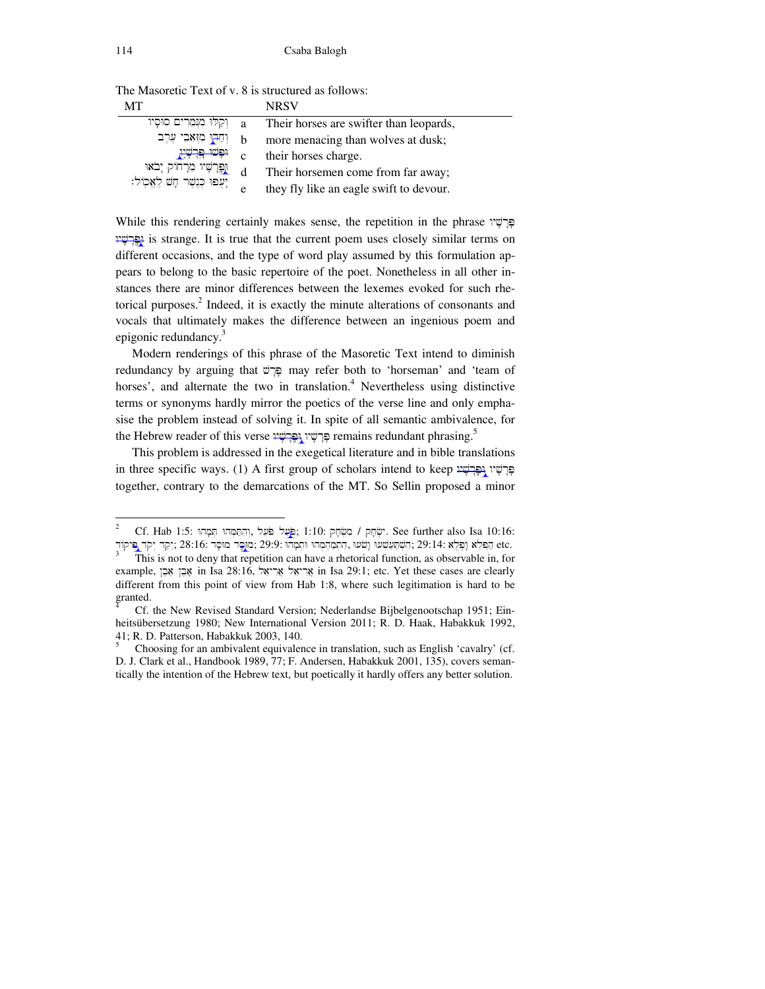| MТ                            |   | <b>NRSV</b>                             |
|-------------------------------|---|-----------------------------------------|
| וִקְלוּ מִנְמֶרִים סוּסָיו    | a | Their horses are swifter than leopards, |
| וְחַבְוּ מִזְאָבֵי עֶרֶב      | b | more menacing than wolves at dusk;      |
| <del>نېنىد چرتې</del> بر      | C | their horses charge.                    |
| וַפֵּרְשָׁיו מִרְחוֹק יָבֹאוּ | d | Their horsemen come from far away;      |
| ַיְעֻפוּ י                    | e | they fly like an eagle swift to devour. |

The Masoretic Text of v. 8 is structured as follows:

While this rendering certainly makes sense, the repetition in the phrase פּרָשָׁיו א is strange. It is true that the current poem uses closely similar terms on equations on different occasions, and the type of word play assumed by this formulation appears to belong to the basic repertoire of the poet. Nonetheless in all other instances there are minor differences between the lexemes evoked for such rhetorical purposes.<sup>2</sup> Indeed, it is exactly the minute alterations of consonants and vocals that ultimately makes the difference between an ingenious poem and epigonic redundancy.<sup>3</sup>

 Modern renderings of this phrase of the Masoretic Text intend to diminish redundancy by arguing that  $\overline{v}$  may refer both to 'horseman' and 'team of horses', and alternate the two in translation.<sup>4</sup> Nevertheless using distinctive terms or synonyms hardly mirror the poetics of the verse line and only emphasise the problem instead of solving it. In spite of all semantic ambivalence, for the Hebrew reader of this verse פרשׁין <del>וְפּרשׁין (</del>Pemains redundant phrasing.<sup>5</sup>

 This problem is addressed in the exegetical literature and in bible translations in three specific ways. (1) A first group of scholars intend to keep פּרְשֵׁין גְפַּרְשֵׁין together, contrary to the demarcations of the MT. So Sellin proposed a minor

Cf. Hab 1:5: מִמְל מֹשֶׁל מִשְׂהָל (הַחֲמְהוּ חְמָהוּ / קִיּהָ See further also Isa 10:16: הַפְּלֵא נְפָלֵא (בָּלֵא; 29:14; הָשְׁתַּעַשְׁעוּ וְהֹמַהְמְהוּ וּתְמָהוּ וּתְמָהוּ; 29:14: מַנְסִּד 28:16; יַקַד יִקֹד פִּיקוֹד

<sup>3</sup> This is not to deny that repetition can have a rhetorical function, as observable in, for example, אָבֶן אָבֵן in Isa 28:16, אֲרִיאֵל in Isa 29:1; etc. Yet these cases are clearly different from this point of view from Hab 1:8, where such legitimation is hard to be granted.

Cf. the New Revised Standard Version; Nederlandse Bijbelgenootschap 1951; Einheitsübersetzung 1980; New International Version 2011; R. D. Haak, Habakkuk 1992, 41; R. D. Patterson, Habakkuk 2003, 140.

<sup>5</sup> Choosing for an ambivalent equivalence in translation, such as English 'cavalry' (cf. D. J. Clark et al., Handbook 1989, 77; F. Andersen, Habakkuk 2001, 135), covers semantically the intention of the Hebrew text, but poetically it hardly offers any better solution.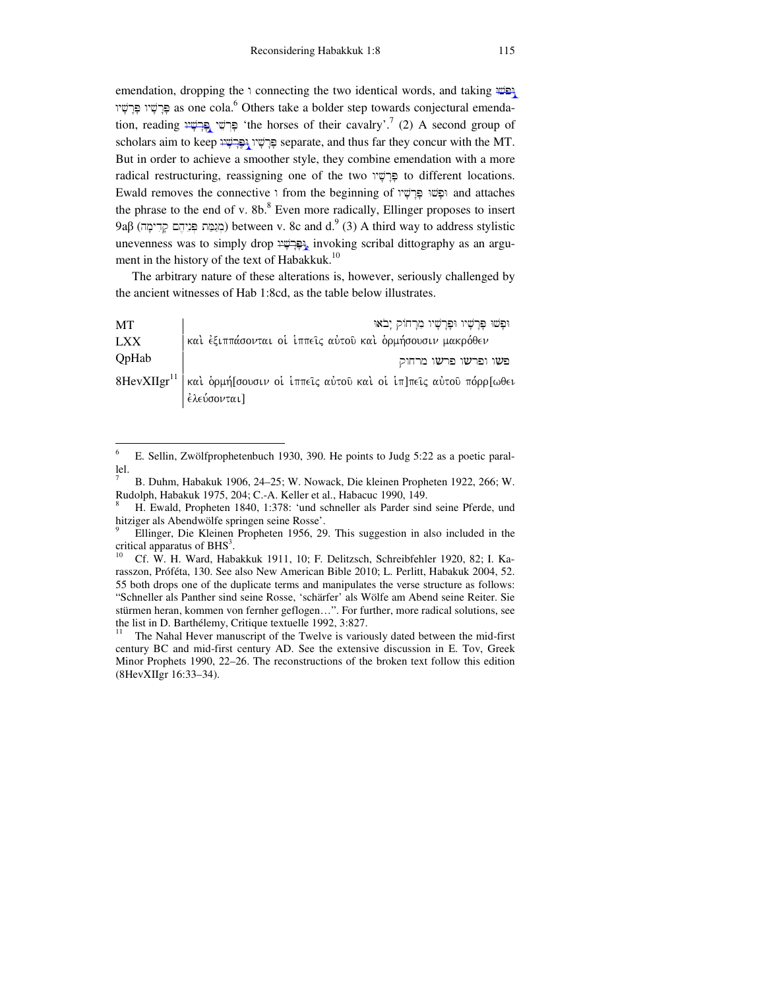emendation, dropping the connecting the two identical words, and taking  $\mathbb{W}^{\text{def}}$ פְּרְשָׁיוּ פִּרְשָׁיוּ as one cola. $^6$  Others take a bolder step towards conjectural emendation, reading פְּרְשֵׁי בְּבְּשָׁי (the horses of their cavalry'.<sup>7</sup> (2) A second group of scholars aim to keep פּרשׁין וּפּרשׁעִין separate, and thus far they concur with the MT. But in order to achieve a smoother style, they combine emendation with a more radical restructuring, reassigning one of the two פְּרַשׁׁיו to different locations. Ewald removes the connective ו from the beginning of וּפָשׁוּ פָּרָשָׁיוּ and attaches the phrase to the end of v.  $8b$ .<sup>8</sup> Even more radically, Ellinger proposes to insert 9aβ (מְגַמֵּת פְּנֵיהֶם קָדִימָה) between v. 8c and d. $^9$  (3) A third way to address stylistic unevenness was to simply drop seribal dittography as an argument in the history of the text of Habakkuk.<sup>10</sup>

 The arbitrary nature of these alterations is, however, seriously challenged by the ancient witnesses of Hab 1:8cd, as the table below illustrates.

| <b>MT</b>  | וּפָשׁוּ פָּרָשָׁיוּ וּפָרָשָׁיוּ מֵרָחוֹק יָבֹאוּ                                         |
|------------|--------------------------------------------------------------------------------------------|
| <b>LXX</b> | καὶ ἐξιππάσονται οἱ ἱππεῖς αὐτοῦ καὶ ὁρμήσουσιν μακρόθεν                                   |
| QpHab      | פשו ופרשו פרשו מרחוק                                                                       |
|            | 8HevXIIgr <sup>11</sup>   και ορμή [σουσιν οι ιππείς αύτου και οι ιπ]πεις αύτου πόρρ [ωθει |
|            | έλεύσονται]                                                                                |

 6 E. Sellin, Zwölfprophetenbuch 1930, 390. He points to Judg 5:22 as a poetic parallel.

<sup>7</sup> B. Duhm, Habakuk 1906, 24–25; W. Nowack, Die kleinen Propheten 1922, 266; W. Rudolph, Habakuk 1975, 204; C.-A. Keller et al., Habacuc 1990, 149.

<sup>8</sup> H. Ewald, Propheten 1840, 1:378: 'und schneller als Parder sind seine Pferde, und hitziger als Abendwölfe springen seine Rosse'.

<sup>9</sup> Ellinger, Die Kleinen Propheten 1956, 29. This suggestion in also included in the critical apparatus of  $BHS<sup>3</sup>$ .

<sup>10</sup> Cf. W. H. Ward, Habakkuk 1911, 10; F. Delitzsch, Schreibfehler 1920, 82; I. Karasszon, Próféta, 130. See also New American Bible 2010; L. Perlitt, Habakuk 2004, 52. 55 both drops one of the duplicate terms and manipulates the verse structure as follows: "Schneller als Panther sind seine Rosse, 'schärfer' als Wölfe am Abend seine Reiter. Sie stürmen heran, kommen von fernher geflogen…". For further, more radical solutions, see the list in D. Barthélemy, Critique textuelle 1992, 3:827.<br> $\frac{11}{11}$  The Nabel Haver manuscript of the Twelve is various

The Nahal Hever manuscript of the Twelve is variously dated between the mid-first century BC and mid-first century AD. See the extensive discussion in E. Tov, Greek Minor Prophets 1990, 22–26. The reconstructions of the broken text follow this edition (8HevXIIgr 16:33–34).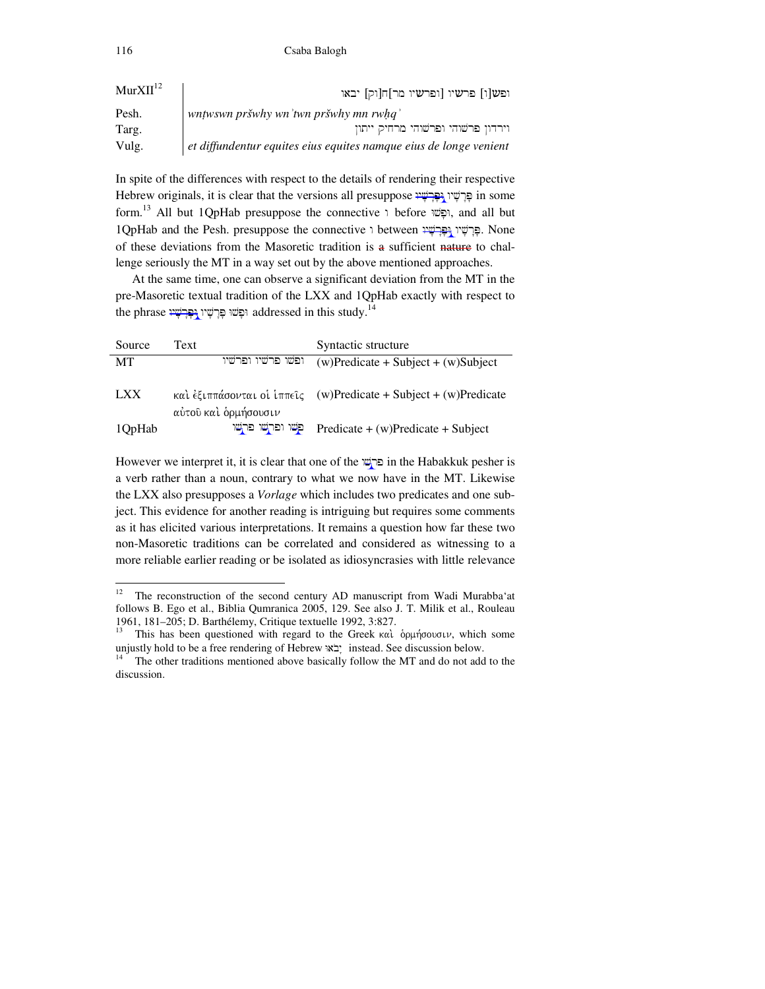| MurXII <sup>12</sup> | ופש[ו] פרשיו [ופרשיו מר]ח[וק] יבאו                                |
|----------------------|-------------------------------------------------------------------|
| Pesh.                | wntwswn pršwhy wn'twn pršwhy mn rwhq'                             |
| Targ.                | וירדון פרשוהי ופרשוהי מרחיק ייתון                                 |
| Vulg.                | et diffundentur equites eius equites namque eius de longe venient |

In spite of the differences with respect to the details of rendering their respective Hebrew originals, it is clear that the versions all presuppose פְּרַשֶׁׁין  $\mu$  in some form.<sup>13</sup> All but 1QpHab presuppose the connective i before וּפָשׁוּ, and all but 1QpHab and the Pesh. presuppose the connective i between פֵּרְשָׁין הְפַּרְשָׁין . None of these deviations from the Masoretic tradition is a sufficient nature to challenge seriously the MT in a way set out by the above mentioned approaches.

 At the same time, one can observe a significant deviation from the MT in the pre-Masoretic textual tradition of the LXX and 1QpHab exactly with respect to the phrase וּפַּלְשִׁיוּ  $\rm{addressed}$  in this study. $^{14}$ 

| Source     | Text                 | Syntactic structure                                              |
|------------|----------------------|------------------------------------------------------------------|
| MT         | ופשו פרשיו ופרשיו    | $(w)$ Predicate + Subject + $(w)$ Subject                        |
| <b>LXX</b> | αύτου και δρμήσουσιν | και έξιππάσονται οι ίππεις (w)Predicate + Subject + (w)Predicate |
| 1QpHab     | פשו ופרשו פרשו       | $Predict + (w)Predict + Subject$                                 |

However we interpret it, it is clear that one of the  $\overline{w}$  in the Habakkuk pesher is a verb rather than a noun, contrary to what we now have in the MT. Likewise the LXX also presupposes a *Vorlage* which includes two predicates and one subject. This evidence for another reading is intriguing but requires some comments as it has elicited various interpretations. It remains a question how far these two non-Masoretic traditions can be correlated and considered as witnessing to a more reliable earlier reading or be isolated as idiosyncrasies with little relevance

 $12$ <sup>12</sup> The reconstruction of the second century AD manuscript from Wadi Murabba'at follows B. Ego et al., Biblia Qumranica 2005, 129. See also J. T. Milik et al., Rouleau 1961, 181–205; D. Barthélemy, Critique textuelle 1992, 3:827.

This has been questioned with regard to the Greek  $\kappa \alpha \hat{i}$  .  $\delta \rho \mu \hat{\eta} \sigma \partial \sigma \sigma \nu$ , which some unjustly hold to be a free rendering of Hebrew  $\mathbf{x}$  instead. See discussion below.

The other traditions mentioned above basically follow the MT and do not add to the discussion.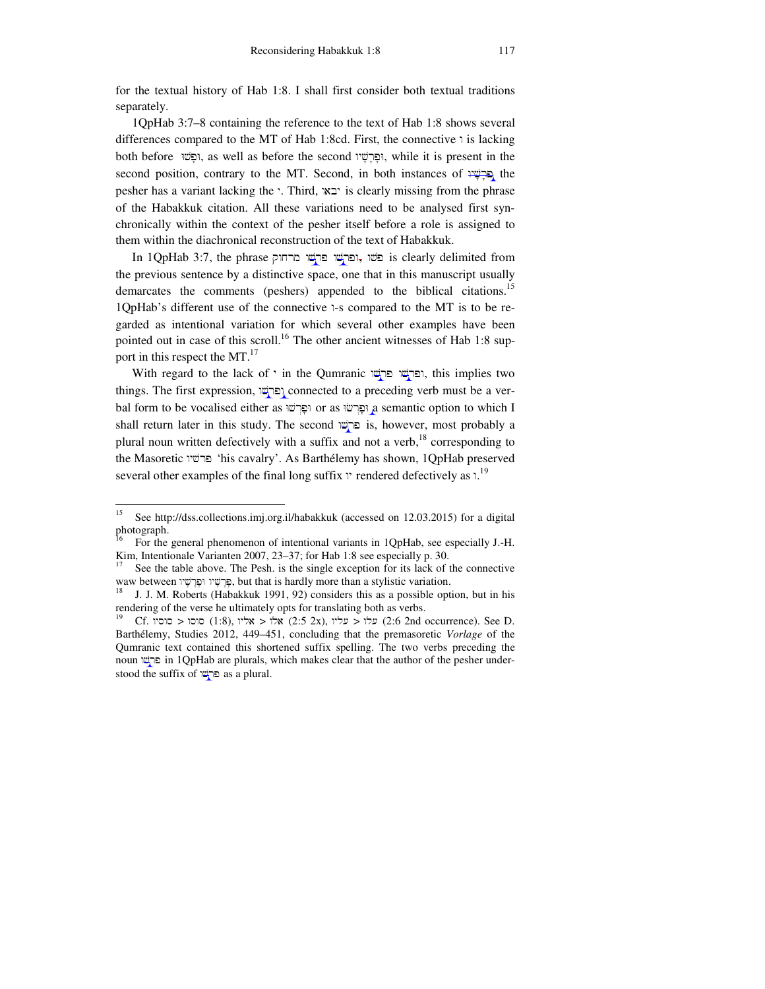for the textual history of Hab 1:8. I shall first consider both textual traditions separately.

 1QpHab 3:7–8 containing the reference to the text of Hab 1:8 shows several differences compared to the MT of Hab 1:8cd. First, the connective  $\iota$  is lacking both before וּפָּשׁוּ, as well as before the second וּפָּרָשָׁיו, while it is present in the second position, contrary to the MT. Second, in both instances of  $\frac{1}{2}$  the pesher has a variant lacking the '. Third,  $\alpha$ ' is clearly missing from the phrase of the Habakkuk citation. All these variations need to be analysed first synchronically within the context of the pesher itself before a role is assigned to them within the diachronical reconstruction of the text of Habakkuk.

In 1QpHab 3:7, the phrase פֹשׁוּ , ופּרְשׁוּ פּרִישׁוּ is clearly delimited from the previous sentence by a distinctive space, one that in this manuscript usually demarcates the comments (peshers) appended to the biblical citations.<sup>15</sup>  $1QpHab's$  different use of the connective  $\lambda$ -s compared to the MT is to be regarded as intentional variation for which several other examples have been pointed out in case of this scroll.<sup>16</sup> The other ancient witnesses of Hab 1:8 support in this respect the MT.<sup>17</sup>

With regard to the lack of ' in the Qumranic ופּרְשׁוּ פּרְשׁוּ, this implies two things. The first expression, פּרְשׁוּ connected to a preceding verb must be a verbal form to be vocalised either as וּפָרְשׁוּ or as וּפָרְשׁה a semantic option to which I shall return later in this study. The second פּרְשׁׁו is, however, most probably a plural noun written defectively with a suffix and not a verb,<sup>18</sup> corresponding to the Masoretic פרשיו 'his cavalry'. As Barthélemy has shown, 1QpHab preserved several other examples of the final long suffix  $\gamma$  rendered defectively as  $\lambda^{19}$ 

<sup>15</sup> See http://dss.collections.imj.org.il/habakkuk (accessed on 12.03.2015) for a digital photograph.

<sup>16</sup> For the general phenomenon of intentional variants in 1QpHab, see especially J.-H. Kim, Intentionale Varianten 2007, 23–37; for Hab 1:8 see especially p. 30.

See the table above. The Pesh. is the single exception for its lack of the connective waw between פָּרָשׁיו וּפָרָשׁיו (פָּרָשׁי וּפָרָשׁיה, but that is hardly more than a stylistic variation.

J. J. M. Roberts (Habakkuk 1991, 92) considers this as a possible option, but in his rendering of the verse he ultimately opts for translating both as verbs.

 $19$ (1:8), עלו  $19$ אלו  $2:5$  2x), שלו עליו (2:6 2nd occurrence). See D. Barthélemy, Studies 2012, 449–451, concluding that the premasoretic *Vorlage* of the Qumranic text contained this shortened suffix spelling. The two verbs preceding the noun פּרְשׁׁוּ in 1QpHab are plurals, which makes clear that the author of the pesher understood the suffix of  $\overline{\omega_1}$  as a plural.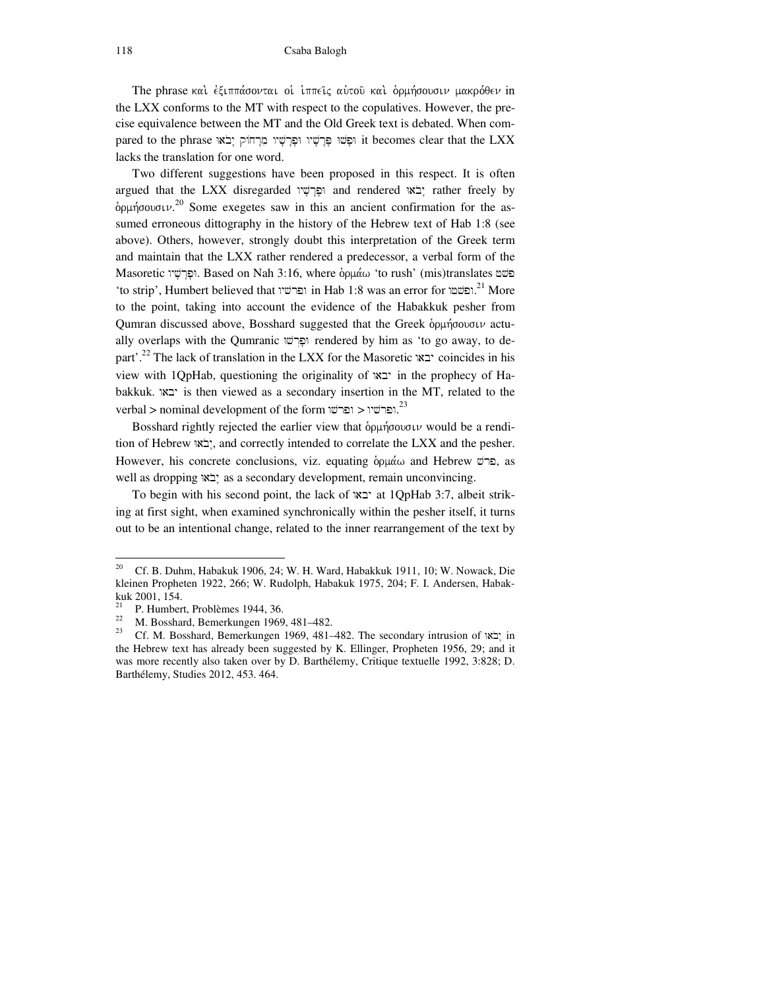The phrase και έξιππάσονται οι ιππεις αύτου και δρμήσουσιν μακρόθεν in the LXX conforms to the MT with respect to the copulatives. However, the precise equivalence between the MT and the Old Greek text is debated. When compared to the phrase וּפָּשׁיוּ מֵּרָחוֹק וַבִּלְשׁיוּ it becomes clear that the LXX lacks the translation for one word.

 Two different suggestions have been proposed in this respect. It is often argued that the LXX disregarded ופרשיו and rendered יבֹאוּ rather freely by  $\delta$ p $\mu$ ήσουσι $\nu$ .<sup>20</sup> Some exegetes saw in this an ancient confirmation for the assumed erroneous dittography in the history of the Hebrew text of Hab 1:8 (see above). Others, however, strongly doubt this interpretation of the Greek term and maintain that the LXX rather rendered a predecessor, a verbal form of the Masoretic פּלָשׁיו Based on Nah 3:16, where  $\delta$ וּפָרָשׁי 'to rush' (mis)translates פּלש 'to strip', Humbert believed that ופרשיו in Hab 1:8 was an error for יהפשטו.<sup>21</sup> More to the point, taking into account the evidence of the Habakkuk pesher from Qumran discussed above, Bosshard suggested that the Greek  $\delta\rho\mu\eta\sigma\omega\sigma\iota\nu$  actually overlaps with the Qumranic ופרש; rendered by him as 'to go away, to depart'.<sup>22</sup> The lack of translation in the LXX for the Masoretic waby coincides in his view with 1QpHab, questioning the originality of waby in the prophecy of Habakkuk. waby is then viewed as a secondary insertion in the MT, related to the  $\rm{verbal} > \rm{nominal}\,\rm{development}\,\rm{of}\,\rm{the}\,\rm{form}$ ופרשיו  $<^{23}$ 

Bosshard rightly rejected the earlier view that  $\delta \rho \mu \eta \sigma \nu \nu$  would be a rendition of Hebrew באי:, and correctly intended to correlate the LXX and the pesher. However, his concrete conclusions, viz. equating  $\delta \rho \mu \alpha \omega$  and Hebrew  $\alpha$  $\alpha$ , as well as dropping "בֹאוֹ as a secondary development, remain unconvincing.

To begin with his second point, the lack of  $x$ יבא at 1QpHab 3:7, albeit striking at first sight, when examined synchronically within the pesher itself, it turns out to be an intentional change, related to the inner rearrangement of the text by

 $\overline{a}$ 

<sup>&</sup>lt;sup>20</sup> Cf. B. Duhm, Habakuk 1906, 24; W. H. Ward, Habakkuk 1911, 10; W. Nowack, Die kleinen Propheten 1922, 266; W. Rudolph, Habakuk 1975, 204; F. I. Andersen, Habakkuk 2001, 154.

<sup>&</sup>lt;sup>21</sup> P. Humbert, Problèmes 1944, 36.<br> $\frac{22}{100}$  M. Bossbard, Bomarkungan 1966.

<sup>&</sup>lt;sup>22</sup> M. Bosshard, Bemerkungen 1969, 481–482.

Cf. M. Bosshard, Bemerkungen 1969, 481–482. The secondary intrusion of  $\overline{\mathbf{r}}$  in the Hebrew text has already been suggested by K. Ellinger, Propheten 1956, 29; and it was more recently also taken over by D. Barthélemy, Critique textuelle 1992, 3:828; D. Barthélemy, Studies 2012, 453. 464.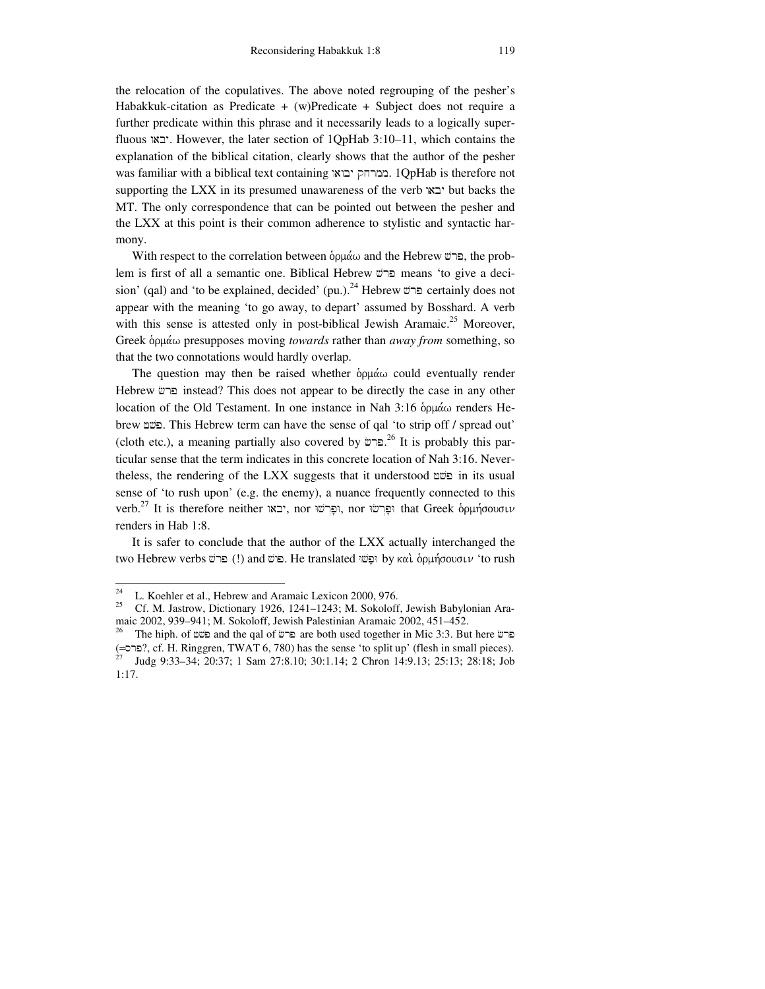the relocation of the copulatives. The above noted regrouping of the pesher's Habakkuk-citation as Predicate + (w)Predicate + Subject does not require a further predicate within this phrase and it necessarily leads to a logically superfluous  $\forall x$ : However, the later section of 1QpHab 3:10–11, which contains the explanation of the biblical citation, clearly shows that the author of the pesher was familiar with a biblical text containing ממרחק יבואו. 1QpHab is therefore not supporting the LXX in its presumed unawareness of the verb "באי $\mathbf{c}$  but backs the MT. The only correspondence that can be pointed out between the pesher and the LXX at this point is their common adherence to stylistic and syntactic harmony.

With respect to the correlation between  $\delta \rho \mu \dot{\alpha} \omega$  and the Hebrew  $\ddot{\omega}$ , the problem is first of all a semantic one. Biblical Hebrew ברש means 'to give a decision' (qal) and 'to be explained, decided' (pu.).<sup>24</sup> Hebrew היש certainly does not appear with the meaning 'to go away, to depart' assumed by Bosshard. A verb with this sense is attested only in post-biblical Jewish Aramaic.<sup>25</sup> Moreover, Greek δρμάω presupposes moving *towards* rather than *away from* something, so that the two connotations would hardly overlap.

The question may then be raised whether  $\phi$ <sup>o</sup> $\mu$ <sup> $\alpha$ </sup> could eventually render Hebrew ברש instead? This does not appear to be directly the case in any other location of the Old Testament. In one instance in Nah  $3:16$  opu $\alpha$  renders Hebrew fvp. This Hebrew term can have the sense of qal 'to strip off / spread out' (cloth etc.), a meaning partially also covered by ברש.<sup>26</sup> It is probably this particular sense that the term indicates in this concrete location of Nah 3:16. Nevertheless, the rendering of the LXX suggests that it understood  $\mathfrak{w}$  in its usual sense of 'to rush upon' (e.g. the enemy), a nuance frequently connected to this verb.<sup>27</sup> It is therefore neither וּפְרְשׁוּ, nor וּפְרְשׁוּ, nor נִקְרֹשׁוּ, that Greek  $\delta$ וּמְוּמָה that Greek , renders in Hab 1:8.

 It is safer to conclude that the author of the LXX actually interchanged the two Hebrew verbs ביש (!) and פרשׁ. He translated פּלָשׁוּ by καὶ δρμήσουσιν 'to rush

<sup>24</sup> <sup>24</sup> L. Koehler et al., Hebrew and Aramaic Lexicon 2000, 976.<br><sup>25</sup> Cf. M. Jattraw, Distinguist 1926, 1941, 1942, M. Sakalaff

<sup>25</sup> Cf. M. Jastrow, Dictionary 1926, 1241–1243; M. Sokoloff, Jewish Babylonian Aramaic 2002, 939–941; M. Sokoloff, Jewish Palestinian Aramaic 2002, 451–452.<br><sup>26</sup> The hiph of multi and the gal of multi are both used together in Mic 3:3. But

The hiph. of  $\infty$  and the qal of are are both used together in Mic 3:3. But here  $\infty$ (=srp?, cf. H. Ringgren, TWAT 6, 780) has the sense 'to split up' (flesh in small pieces).

<sup>27</sup> Judg 9:33–34; 20:37; 1 Sam 27:8.10; 30:1.14; 2 Chron 14:9.13; 25:13; 28:18; Job 1:17.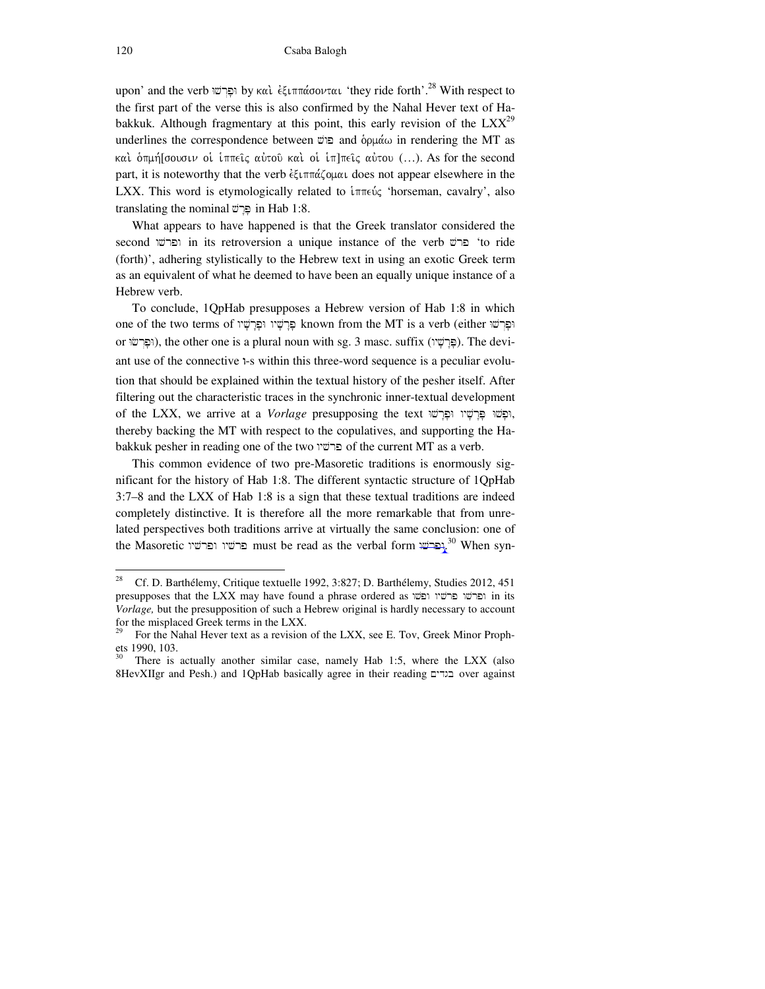upon' and the verb  $\gamma$ ιστών καὶ  $\epsilon \xi$ ιππάσονται 'they ride forth'.<sup>28</sup> With respect to the first part of the verse this is also confirmed by the Nahal Hever text of Habakkuk. Although fragmentary at this point, this early revision of the  $LXX^{29}$ underlines the correspondence between  $\overline{\omega}$  and δρμάω in rendering the MT as και δημή[σουσιν οι ιππεις αύτου και οι ιπ]πεις αύτου (...). As for the second part, it is noteworthy that the verb  $\epsilon \xi \iota \pi \pi \alpha \zeta \circ \mu \alpha \iota$  does not appear elsewhere in the LXX. This word is etymologically related to  $\lim_{\varepsilon \to 0}$  'horseman, cavalry', also translating the nominal  $\overline{w}$  in Hab 1:8.

 What appears to have happened is that the Greek translator considered the second פרש in its retroversion a unique instance of the verb ברש 'to ride (forth)', adhering stylistically to the Hebrew text in using an exotic Greek term as an equivalent of what he deemed to have been an equally unique instance of a Hebrew verb.

 To conclude, 1QpHab presupposes a Hebrew version of Hab 1:8 in which one of the two terms of פְּרָשָׁיו וּפְּרְשָׁיו (either פִּרְשׁוּ known from the MT is a verb (either וּפַרְשׁו or ופרשיו), the other one is a plural noun with sg. 3 masc. suffix (ופרשי). The deviant use of the connective 1-s within this three-word sequence is a peculiar evolution that should be explained within the textual history of the pesher itself. After filtering out the characteristic traces in the synchronic inner-textual development of the LXX, we arrive at a *Vorlage* presupposing the text וִפְּלְשִׁיוּ וּפָּרְשׁיוּ, thereby backing the MT with respect to the copulatives, and supporting the Habakkuk pesher in reading one of the two פרשיו of the current MT as a verb.

 This common evidence of two pre-Masoretic traditions is enormously significant for the history of Hab 1:8. The different syntactic structure of 1QpHab 3:7–8 and the LXX of Hab 1:8 is a sign that these textual traditions are indeed completely distinctive. It is therefore all the more remarkable that from unrelated perspectives both traditions arrive at virtually the same conclusion: one of the Masoretic יפרשיו מכרשיו must be read as the verbal form  $\frac{30}{2}$ . When syn-

<sup>28</sup> <sup>28</sup> Cf. D. Barthélemy, Critique textuelle 1992, 3:827; D. Barthélemy, Studies 2012, 451 presupposes that the LXX may have found a phrase ordered as wvpw wyvrp wvrpw in its *Vorlage,* but the presupposition of such a Hebrew original is hardly necessary to account for the misplaced Greek terms in the LXX.

For the Nahal Hever text as a revision of the LXX, see E. Tov, Greek Minor Prophets 1990, 103.

There is actually another similar case, namely Hab 1:5, where the LXX (also 8HevXIIgr and Pesh.) and 1QpHab basically agree in their reading בנדים over against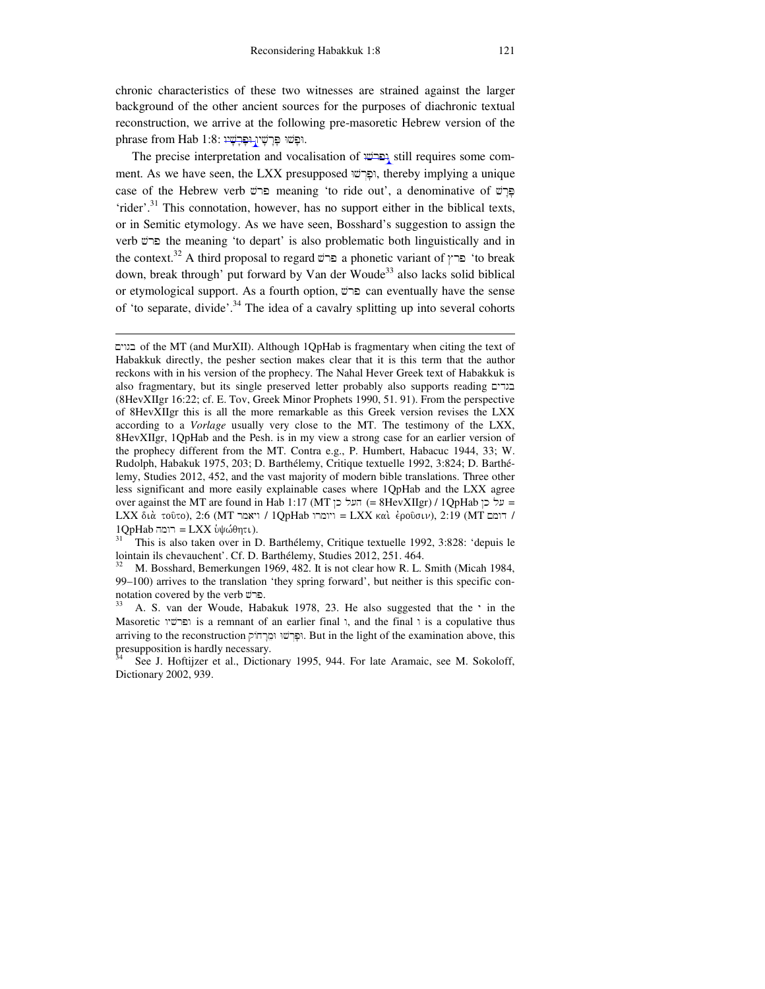chronic characteristics of these two witnesses are strained against the larger background of the other ancient sources for the purposes of diachronic textual reconstruction, we arrive at the following pre-masoretic Hebrew version of the phrase from Hab 1:8: וּפָשׁוּ פַּרְשָׁין בָּבְלָשִׁי

The precise interpretation and vocalisation of <del>ופרשו</del> still requires some comment. As we have seen, the LXX presupposed וּפֿרשׁוּ, thereby implying a unique case of the Hebrew verb ברש meaning 'to ride out', a denominative of ברש 'rider'.<sup>31</sup> This connotation, however, has no support either in the biblical texts, or in Semitic etymology. As we have seen, Bosshard's suggestion to assign the verb vrp the meaning 'to depart' is also problematic both linguistically and in the context.<sup>32</sup> A third proposal to regard  $\vec{v}$  a phonetic variant of  $\gamma$   $\infty$  'to break down, break through' put forward by Van der Woude<sup>33</sup> also lacks solid biblical or etymological support. As a fourth option,  $\vec{v}$  can eventually have the sense of 'to separate, divide'.<sup>34</sup> The idea of a cavalry splitting up into several cohorts

 $\overline{a}$ 

µywgb of the MT (and MurXII). Although 1QpHab is fragmentary when citing the text of Habakkuk directly, the pesher section makes clear that it is this term that the author reckons with in his version of the prophecy. The Nahal Hever Greek text of Habakkuk is also fragmentary, but its single preserved letter probably also supports reading  $\Sigma$ (8HevXIIgr 16:22; cf. E. Tov, Greek Minor Prophets 1990, 51. 91). From the perspective of 8HevXIIgr this is all the more remarkable as this Greek version revises the LXX according to a *Vorlage* usually very close to the MT. The testimony of the LXX, 8HevXIIgr, 1QpHab and the Pesh. is in my view a strong case for an earlier version of the prophecy different from the MT. Contra e.g., P. Humbert, Habacuc 1944, 33; W. Rudolph, Habakuk 1975, 203; D. Barthélemy, Critique textuelle 1992, 3:824; D. Barthélemy, Studies 2012, 452, and the vast majority of modern bible translations. Three other less significant and more easily explainable cases where 1QpHab and the LXX agree over against the MT are found in Hab 1:17 (MT ו= 6HevXIIgr) / 1QpHab = על כן LXX διά τοῦτο), 2:6 (MT ויאמר / 1QpHab ויומרו = LXX καὶ  $\dot{\epsilon}$ ροῦσιν), 2:19 (MT | דומם /  $1QpHab$  רומה = LXX וֹ $\phi\phi$ ו $\phi$ ו $\tau$ 

<sup>31</sup> This is also taken over in D. Barthélemy, Critique textuelle 1992, 3:828: 'depuis le lointain ils chevauchent'. Cf. D. Barthélemy, Studies 2012, 251. 464.

<sup>32</sup> M. Bosshard, Bemerkungen 1969, 482. It is not clear how R. L. Smith (Micah 1984, 99–100) arrives to the translation 'they spring forward', but neither is this specific connotation covered by the verb ברש.

A. S. van der Woude, Habakuk 1978, 23. He also suggested that the ' in the Masoretic ופרשיו is a remnant of an earlier final  $\lambda$ , and the final  $\lambda$  is a copulative thus arriving to the reconstruction ופרשו ומרחוק. But in the light of the examination above, this presupposition is hardly necessary.

See J. Hoftijzer et al., Dictionary 1995, 944. For late Aramaic, see M. Sokoloff, Dictionary 2002, 939.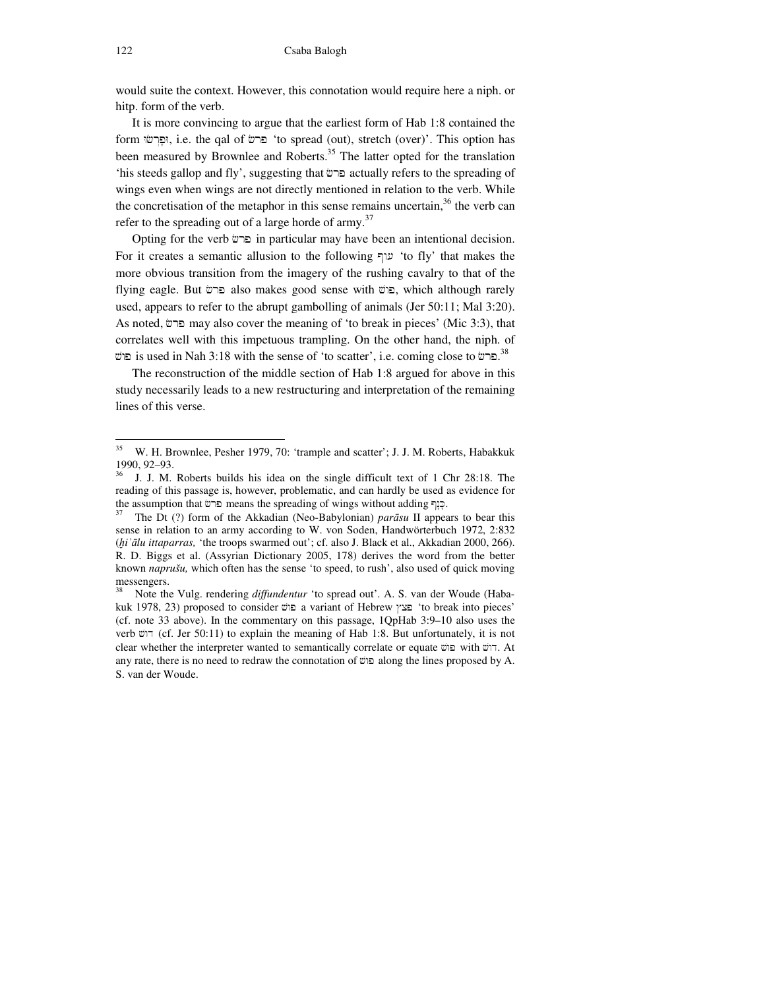would suite the context. However, this connotation would require here a niph. or hitp. form of the verb.

 It is more convincing to argue that the earliest form of Hab 1:8 contained the form הַפּרשׂוּ; i.e. the qal of פרש 'to spread (out), stretch (over)'. This option has been measured by Brownlee and Roberts.<sup>35</sup> The latter opted for the translation 'his steeds gallop and fly', suggesting that crp actually refers to the spreading of wings even when wings are not directly mentioned in relation to the verb. While the concretisation of the metaphor in this sense remains uncertain,  $36$  the verb can refer to the spreading out of a large horde of army.<sup>37</sup>

Opting for the verb  $c$  in particular may have been an intentional decision. For it creates a semantic allusion to the following  $\nabla$  'to fly' that makes the more obvious transition from the imagery of the rushing cavalry to that of the flying eagle. But פרש also makes good sense with פולש, which although rarely used, appears to refer to the abrupt gambolling of animals (Jer 50:11; Mal 3:20). As noted, ברש may also cover the meaning of 'to break in pieces' (Mic 3:3), that correlates well with this impetuous trampling. On the other hand, the niph. of פוש: is used in Nah 3:18 with the sense of 'to scatter', i.e. coming close to בושׁ $^{38}$ 

 The reconstruction of the middle section of Hab 1:8 argued for above in this study necessarily leads to a new restructuring and interpretation of the remaining lines of this verse.

<sup>35</sup> W. H. Brownlee, Pesher 1979, 70: 'trample and scatter'; J. J. M. Roberts, Habakkuk 1990, 92–93.

<sup>36</sup> J. J. M. Roberts builds his idea on the single difficult text of 1 Chr 28:18. The reading of this passage is, however, problematic, and can hardly be used as evidence for the assumption that  $\sigma$  means the spreading of wings without adding  $\sigma$ .

<sup>37</sup> The Dt (?) form of the Akkadian (Neo-Babylonian) *par*ā*su* II appears to bear this sense in relation to an army according to W. von Soden, Handwörterbuch 1972, 2:832 (ḫ*i*ʾā*lu ittaparras,* 'the troops swarmed out'; cf. also J. Black et al., Akkadian 2000, 266). R. D. Biggs et al. (Assyrian Dictionary 2005, 178) derives the word from the better known *naprušu,* which often has the sense 'to speed, to rush', also used of quick moving messengers.<br><sup>38</sup> Note the

Note the Vulg. rendering *diffundentur* 'to spread out'. A. S. van der Woude (Habakuk 1978, 23) proposed to consider  $\vec{v}$ a variant of Hebrew מצץ 'to break into pieces' (cf. note 33 above). In the commentary on this passage, 1QpHab 3:9–10 also uses the verb דוש (cf. Jer 50:11) to explain the meaning of Hab 1:8. But unfortunately, it is not clear whether the interpreter wanted to semantically correlate or equate ירוש with ירוש. At any rate, there is no need to redraw the connotation of  $\vec{w}$  along the lines proposed by A. S. van der Woude.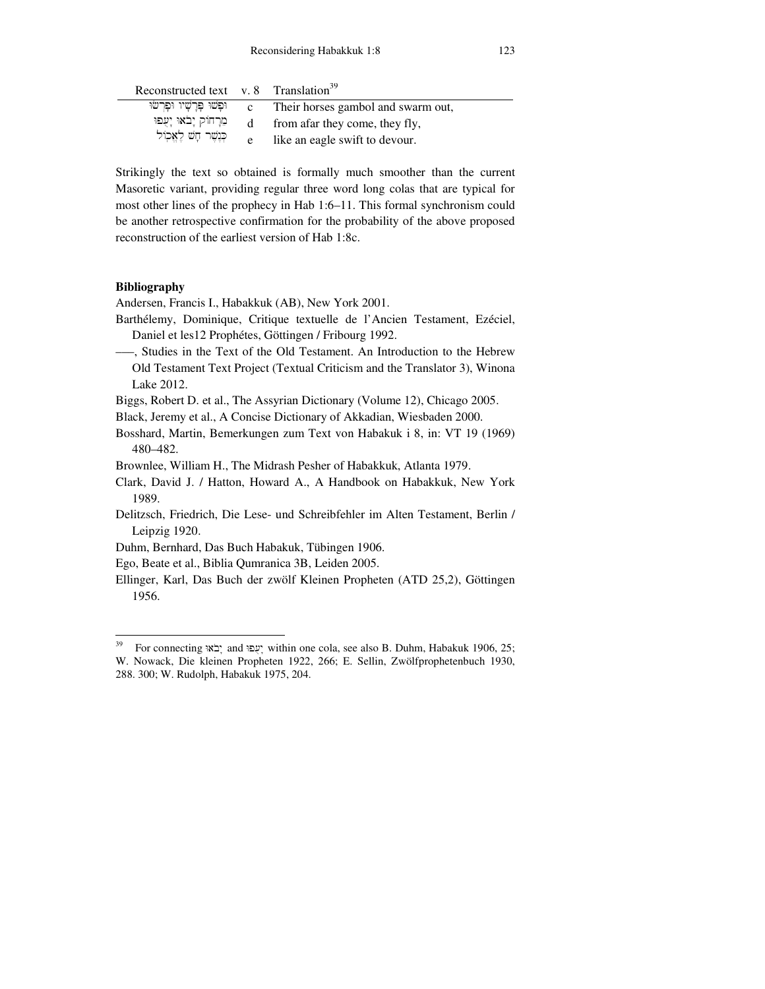| Reconstructed text v. 8 $Translation39$ |                |                                    |
|-----------------------------------------|----------------|------------------------------------|
| ופשו פרשיו ופרשו                        | $\mathbf{c}$ . | Their horses gambol and swarm out, |
| מֵרָחוֹק יָבֹאוּ יָעָפוּ                |                | d from a far they come, they fly,  |
| כְּנֶשֶׁר חָשׁ לָאֱכְוֹל                | e              | like an eagle swift to devour.     |

Strikingly the text so obtained is formally much smoother than the current Masoretic variant, providing regular three word long colas that are typical for most other lines of the prophecy in Hab 1:6–11. This formal synchronism could be another retrospective confirmation for the probability of the above proposed reconstruction of the earliest version of Hab 1:8c.

## **Bibliography**

 $\overline{a}$ 

Andersen, Francis I., Habakkuk (AB), New York 2001.

- Barthélemy, Dominique, Critique textuelle de l'Ancien Testament, Ezéciel, Daniel et les12 Prophétes, Göttingen / Fribourg 1992.
- –––, Studies in the Text of the Old Testament. An Introduction to the Hebrew Old Testament Text Project (Textual Criticism and the Translator 3), Winona Lake 2012.
- Biggs, Robert D. et al., The Assyrian Dictionary (Volume 12), Chicago 2005.
- Black, Jeremy et al., A Concise Dictionary of Akkadian, Wiesbaden 2000.
- Bosshard, Martin, Bemerkungen zum Text von Habakuk i 8, in: VT 19 (1969) 480–482.
- Brownlee, William H., The Midrash Pesher of Habakkuk, Atlanta 1979.
- Clark, David J. / Hatton, Howard A., A Handbook on Habakkuk, New York 1989.
- Delitzsch, Friedrich, Die Lese- und Schreibfehler im Alten Testament, Berlin / Leipzig 1920.
- Duhm, Bernhard, Das Buch Habakuk, Tübingen 1906.
- Ego, Beate et al., Biblia Qumranica 3B, Leiden 2005.
- Ellinger, Karl, Das Buch der zwölf Kleinen Propheten (ATD 25,2), Göttingen 1956.

For connecting "עפוּ and within one cola, see also B. Duhm, Habakuk 1906, 25; W. Nowack, Die kleinen Propheten 1922, 266; E. Sellin, Zwölfprophetenbuch 1930, 288. 300; W. Rudolph, Habakuk 1975, 204.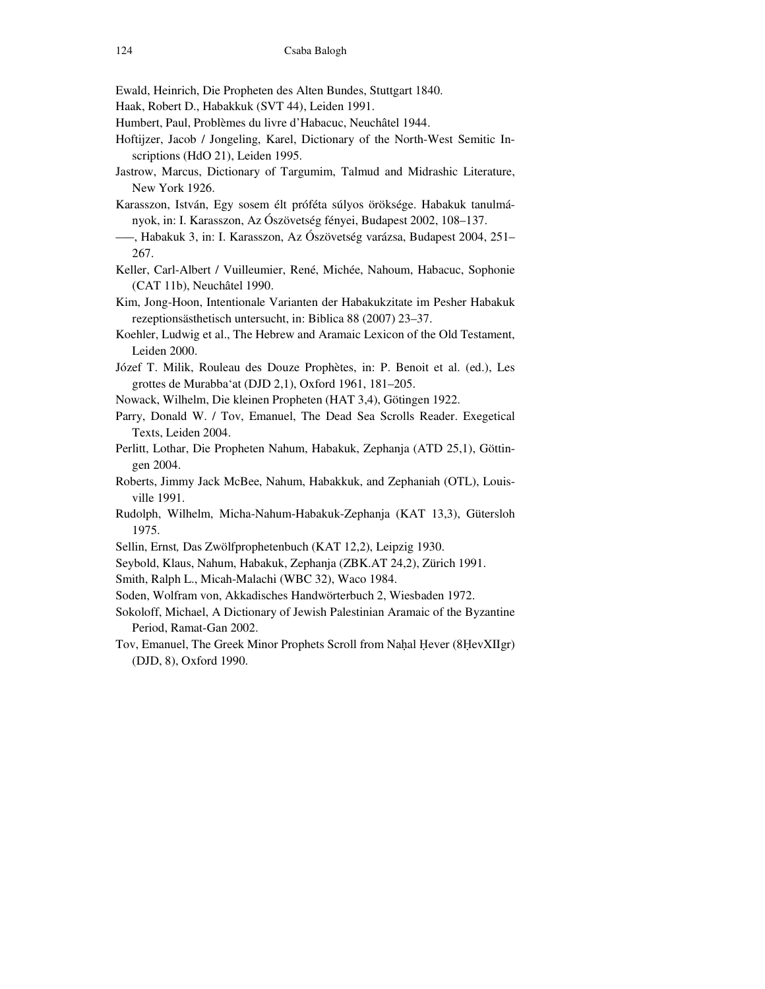- Ewald, Heinrich, Die Propheten des Alten Bundes, Stuttgart 1840.
- Haak, Robert D., Habakkuk (SVT 44), Leiden 1991.
- Humbert, Paul, Problèmes du livre d'Habacuc, Neuchâtel 1944.
- Hoftijzer, Jacob / Jongeling, Karel, Dictionary of the North-West Semitic Inscriptions (HdO 21), Leiden 1995.
- Jastrow, Marcus, Dictionary of Targumim, Talmud and Midrashic Literature, New York 1926.
- Karasszon, István, Egy sosem élt próféta súlyos öröksége. Habakuk tanulmányok, in: I. Karasszon, Az Ószövetség fényei, Budapest 2002, 108–137.
- –––, Habakuk 3, in: I. Karasszon, Az Ószövetség varázsa, Budapest 2004, 251– 267.
- Keller, Carl-Albert / Vuilleumier, René, Michée, Nahoum, Habacuc, Sophonie (CAT 11b), Neuchâtel 1990.
- Kim, Jong-Hoon, Intentionale Varianten der Habakukzitate im Pesher Habakuk rezeptionsästhetisch untersucht, in: Biblica 88 (2007) 23–37.
- Koehler, Ludwig et al., The Hebrew and Aramaic Lexicon of the Old Testament, Leiden 2000.
- Józef T. Milik, Rouleau des Douze Prophètes, in: P. Benoit et al. (ed.), Les grottes de Murabba'at (DJD 2,1), Oxford 1961, 181–205.
- Nowack, Wilhelm, Die kleinen Propheten (HAT 3,4), Götingen 1922.
- Parry, Donald W. / Tov, Emanuel, The Dead Sea Scrolls Reader. Exegetical Texts, Leiden 2004.
- Perlitt, Lothar, Die Propheten Nahum, Habakuk, Zephanja (ATD 25,1), Göttingen 2004.
- Roberts, Jimmy Jack McBee, Nahum, Habakkuk, and Zephaniah (OTL), Louisville 1991.
- Rudolph, Wilhelm, Micha-Nahum-Habakuk-Zephanja (KAT 13,3), Gütersloh 1975.
- Sellin, Ernst*,* Das Zwölfprophetenbuch (KAT 12,2), Leipzig 1930.
- Seybold, Klaus, Nahum, Habakuk, Zephanja (ZBK.AT 24,2), Zürich 1991.
- Smith, Ralph L., Micah-Malachi (WBC 32), Waco 1984.
- Soden, Wolfram von, Akkadisches Handwörterbuch 2, Wiesbaden 1972.
- Sokoloff, Michael, A Dictionary of Jewish Palestinian Aramaic of the Byzantine Period, Ramat-Gan 2002.
- Tov, Emanuel, The Greek Minor Prophets Scroll from Naḥal Ḥever (8ḤevXIIgr) (DJD, 8), Oxford 1990.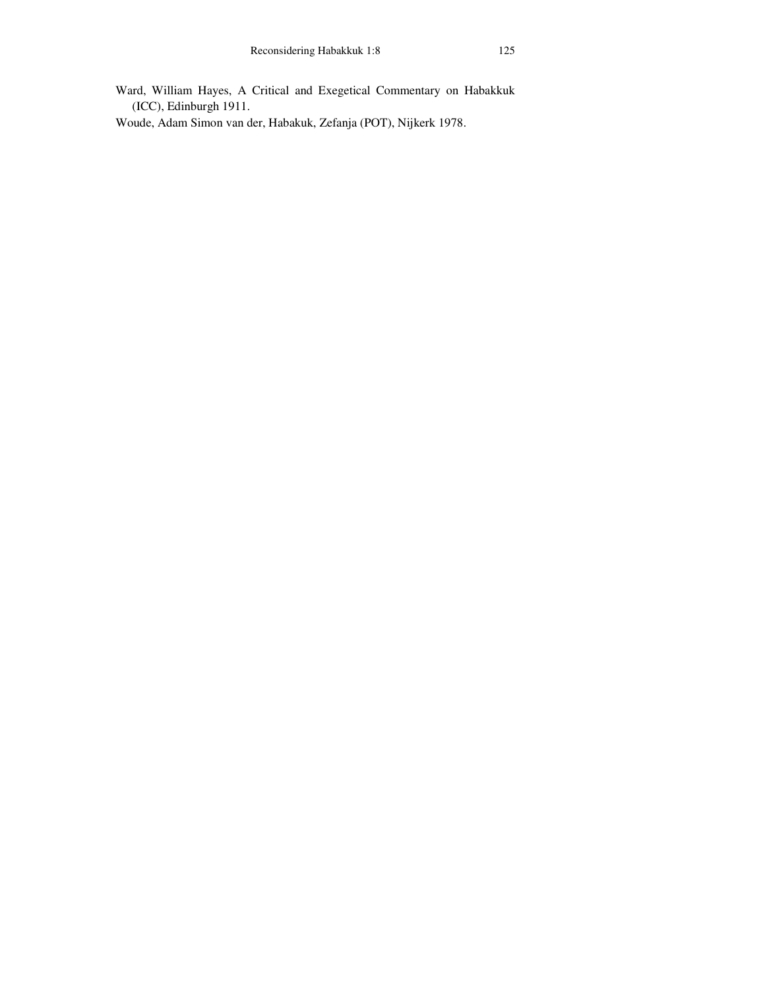Ward, William Hayes, A Critical and Exegetical Commentary on Habakkuk (ICC), Edinburgh 1911.

Woude, Adam Simon van der, Habakuk, Zefanja (POT), Nijkerk 1978.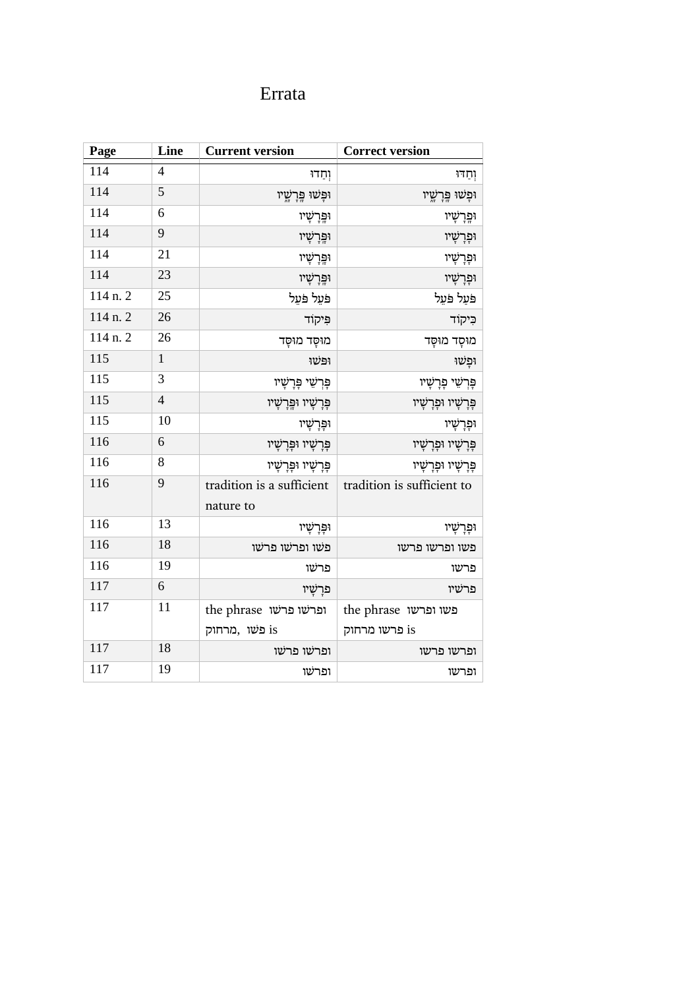## Errata

| Page     | Line           | <b>Current version</b>                  | <b>Correct version</b>                |
|----------|----------------|-----------------------------------------|---------------------------------------|
| 114      | $\overline{4}$ | וְחַדוּ                                 | וְחַדוּ                               |
| 114      | 5              | וּפְּשׁוּ פְּרָשֶׁיו                    | וּפְשׁוּ פְּרָשֳיו                    |
| 114      | 6              | וִפְּרָשָׁיו                            | וֹפְרָשָׁיו                           |
| 114      | 9              | וּפֵּרְשָׁיו                            | וּפְרָשָׁיו                           |
| 114      | 21             | וּפְּרָשָׁיו                            | וּפְרָשָׁיו                           |
| 114      | 23             | וּפֵּרְשָׁיו                            | וּפְרָשָׁיו                           |
| 114 n. 2 | 25             | פֹּעֵל פֹּעֵל                           | פּעַל פּעֵל                           |
| 114 n. 2 | 26             | פִּיקוֹד                                | כִּיקוֹד                              |
| 114 n. 2 | 26             | מוּסָד מוּסָד                           | מוּסָד מוּסָד                         |
| 115      | $\mathbf{1}$   | ופשו                                    | ּוּפְשׁוּ                             |
| 115      | 3              | פְּרְשֵׁי פְּרָשָׁיו                    | פְּרְשֵׁי פְּרָשָׁיו                  |
| 115      | $\overline{4}$ | פְּרָשָׁיוּ וּפְּרָשָׁיו                | פְּרָשָׁיוּ וּפְרָשָׁיו               |
| 115      | 10             | וּפְּרָשָׁיו                            | וּפְרָשָׁיו                           |
| 116      | 6              | פְּרָשָׁיוּ וּפְּרָשָׁיו                | פְּרָשָׁיוּ וּפְרָשָׁיו               |
| 116      | 8              | פָּרָשָׁיו וּפָּרָשָׁיו                 | פָּרָשָׁיו וּפָרָשָׁיו                |
| 116      | 9              | tradition is a sufficient<br>nature to  | tradition is sufficient to            |
| 116      | 13             | וִפְּרָשָׁיו                            | וּפָרָשָׁיו                           |
| 116      | 18             | פשו ופרשו פרשו                          | פשו ופרשו פרשו                        |
| 116      | 19             | פרשו                                    | פרשו                                  |
| 117      | 6              | פּרַשָׁיו                               | פרשיו                                 |
| 117      | 11             | the phrase ופרשו פרשו<br>is פשו , מרחוק | the phrase פשו ופרשו<br>is פרשו מרחוק |
| 117      | 18             | ופרשו פרשו                              | ופרשו פרשו                            |
| 117      | 19             | ופרשו                                   | ופרשו                                 |